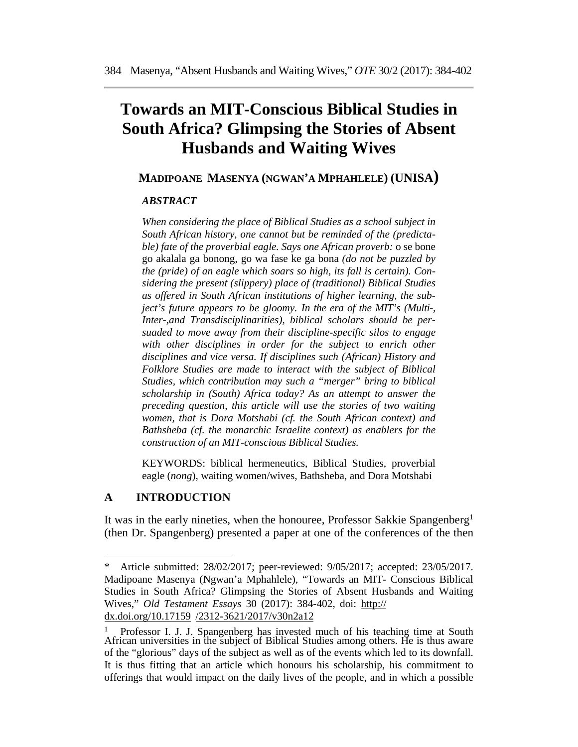# **Towards an MIT-Conscious Biblical Studies in South Africa? Glimpsing the Stories of Absent Husbands and Waiting Wives**

## **MADIPOANE MASENYA (NGWAN'A MPHAHLELE) (UNISA)**

#### *ABSTRACT*

*When considering the place of Biblical Studies as a school subject in South African history, one cannot but be reminded of the (predictable) fate of the proverbial eagle. Says one African proverb:* o se bone go akalala ga bonong, go wa fase ke ga bona *(do not be puzzled by the (pride) of an eagle which soars so high, its fall is certain). Considering the present (slippery) place of (traditional) Biblical Studies as offered in South African institutions of higher learning, the subject's future appears to be gloomy. In the era of the MIT's (Multi-, Inter-,and Transdisciplinarities), biblical scholars should be persuaded to move away from their discipline-specific silos to engage with other disciplines in order for the subject to enrich other disciplines and vice versa. If disciplines such (African) History and Folklore Studies are made to interact with the subject of Biblical Studies, which contribution may such a "merger" bring to biblical scholarship in (South) Africa today? As an attempt to answer the preceding question, this article will use the stories of two waiting women, that is Dora Motshabi (cf. the South African context) and Bathsheba (cf. the monarchic Israelite context) as enablers for the construction of an MIT-conscious Biblical Studies.* 

KEYWORDS: biblical hermeneutics, Biblical Studies, proverbial eagle (*nong*), waiting women/wives, Bathsheba, and Dora Motshabi

## **A INTRODUCTION**

It was in the early nineties, when the honouree, Professor Sakkie Spangenberg1 (then Dr. Spangenberg) presented a paper at one of the conferences of the then

<sup>\*</sup> Article submitted: 28/02/2017; peer-reviewed: 9/05/2017; accepted: 23/05/2017. Madipoane Masenya (Ngwan'a Mphahlele), "Towards an MIT- Conscious Biblical Studies in South Africa? Glimpsing the Stories of Absent Husbands and Waiting Wives," *Old Testament Essays* 30 (2017): 384-402, doi: http:// dx.doi.org/10.17159 /2312-3621/2017/v30n2a12

<sup>&</sup>lt;sup>1</sup> Professor I. J. J. Spangenberg has invested much of his teaching time at South African universities in the subject of Biblical Studies among others. He is thus aware of the "glorious" days of the subject as well as of the events which led to its downfall. It is thus fitting that an article which honours his scholarship, his commitment to offerings that would impact on the daily lives of the people, and in which a possible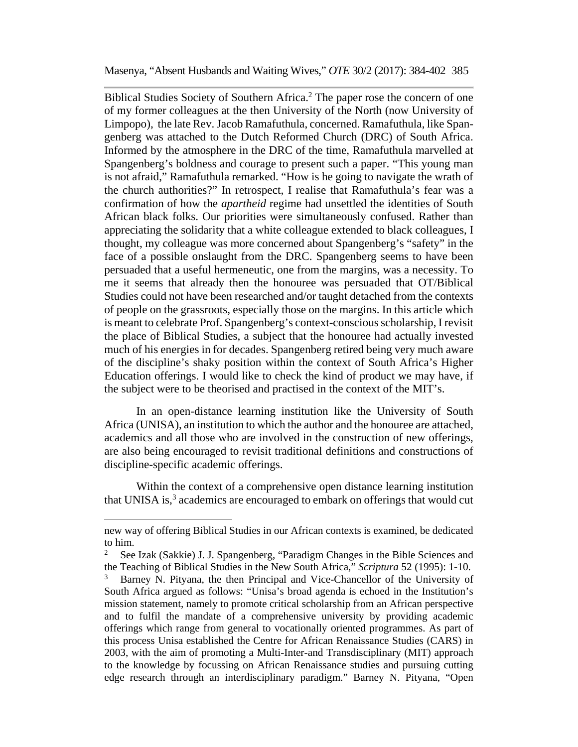Biblical Studies Society of Southern Africa.<sup>2</sup> The paper rose the concern of one of my former colleagues at the then University of the North (now University of Limpopo), the late Rev. Jacob Ramafuthula, concerned. Ramafuthula, like Spangenberg was attached to the Dutch Reformed Church (DRC) of South Africa. Informed by the atmosphere in the DRC of the time, Ramafuthula marvelled at Spangenberg's boldness and courage to present such a paper. "This young man is not afraid," Ramafuthula remarked. "How is he going to navigate the wrath of the church authorities?" In retrospect, I realise that Ramafuthula's fear was a confirmation of how the *apartheid* regime had unsettled the identities of South African black folks. Our priorities were simultaneously confused. Rather than appreciating the solidarity that a white colleague extended to black colleagues, I thought, my colleague was more concerned about Spangenberg's "safety" in the face of a possible onslaught from the DRC. Spangenberg seems to have been persuaded that a useful hermeneutic, one from the margins, was a necessity. To me it seems that already then the honouree was persuaded that OT/Biblical Studies could not have been researched and/or taught detached from the contexts of people on the grassroots, especially those on the margins. In this article which is meant to celebrate Prof. Spangenberg's context-conscious scholarship, I revisit the place of Biblical Studies, a subject that the honouree had actually invested much of his energies in for decades. Spangenberg retired being very much aware of the discipline's shaky position within the context of South Africa's Higher Education offerings. I would like to check the kind of product we may have, if the subject were to be theorised and practised in the context of the MIT's.

In an open-distance learning institution like the University of South Africa (UNISA), an institution to which the author and the honouree are attached, academics and all those who are involved in the construction of new offerings, are also being encouraged to revisit traditional definitions and constructions of discipline-specific academic offerings.

Within the context of a comprehensive open distance learning institution that UNISA is, $3$  academics are encouraged to embark on offerings that would cut

new way of offering Biblical Studies in our African contexts is examined, be dedicated to him.

<sup>&</sup>lt;sup>2</sup> See Izak (Sakkie) J. J. Spangenberg, "Paradigm Changes in the Bible Sciences and the Teaching of Biblical Studies in the New South Africa," *Scriptura* 52 (1995): 1-10.

<sup>3</sup> Barney N. Pityana, the then Principal and Vice-Chancellor of the University of South Africa argued as follows: "Unisa's broad agenda is echoed in the Institution's mission statement, namely to promote critical scholarship from an African perspective and to fulfil the mandate of a comprehensive university by providing academic offerings which range from general to vocationally oriented programmes. As part of this process Unisa established the Centre for African Renaissance Studies (CARS) in 2003, with the aim of promoting a Multi-Inter-and Transdisciplinary (MIT) approach to the knowledge by focussing on African Renaissance studies and pursuing cutting edge research through an interdisciplinary paradigm." Barney N. Pityana, "Open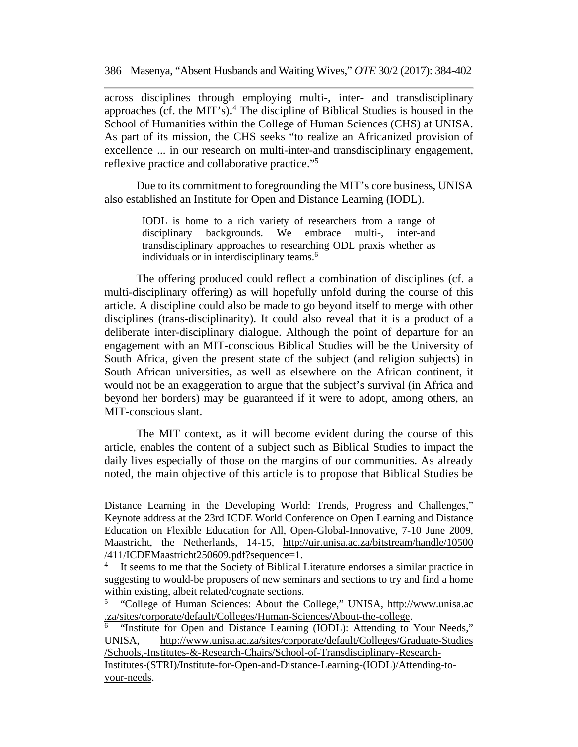across disciplines through employing multi-, inter- and transdisciplinary approaches (cf. the MIT's).<sup>4</sup> The discipline of Biblical Studies is housed in the School of Humanities within the College of Human Sciences (CHS) at UNISA. As part of its mission, the CHS seeks "to realize an Africanized provision of excellence ... in our research on multi-inter-and transdisciplinary engagement, reflexive practice and collaborative practice."5

Due to its commitment to foregrounding the MIT's core business, UNISA also established an Institute for Open and Distance Learning (IODL).

> IODL is home to a rich variety of researchers from a range of disciplinary backgrounds. We embrace multi-, inter-and transdisciplinary approaches to researching ODL praxis whether as individuals or in interdisciplinary teams.<sup>6</sup>

The offering produced could reflect a combination of disciplines (cf. a multi-disciplinary offering) as will hopefully unfold during the course of this article. A discipline could also be made to go beyond itself to merge with other disciplines (trans-disciplinarity). It could also reveal that it is a product of a deliberate inter-disciplinary dialogue. Although the point of departure for an engagement with an MIT-conscious Biblical Studies will be the University of South Africa, given the present state of the subject (and religion subjects) in South African universities, as well as elsewhere on the African continent, it would not be an exaggeration to argue that the subject's survival (in Africa and beyond her borders) may be guaranteed if it were to adopt, among others, an MIT-conscious slant.

The MIT context, as it will become evident during the course of this article, enables the content of a subject such as Biblical Studies to impact the daily lives especially of those on the margins of our communities. As already noted, the main objective of this article is to propose that Biblical Studies be

Distance Learning in the Developing World: Trends, Progress and Challenges," Keynote address at the 23rd ICDE World Conference on Open Learning and Distance Education on Flexible Education for All, Open-Global-Innovative, 7-10 June 2009, Maastricht, the Netherlands, 14-15, http://uir.unisa.ac.za/bitstream/handle/10500 /411/ICDEMaastricht250609.pdf?sequence=1.

It seems to me that the Society of Biblical Literature endorses a similar practice in suggesting to would-be proposers of new seminars and sections to try and find a home within existing, albeit related/cognate sections.

<sup>5 &</sup>quot;College of Human Sciences: About the College," UNISA, http://www.unisa.ac .za/sites/corporate/default/Colleges/Human-Sciences/About-the-college.

<sup>&</sup>quot;Institute for Open and Distance Learning (IODL): Attending to Your Needs," UNISA, http://www.unisa.ac.za/sites/corporate/default/Colleges/Graduate-Studies /Schools,-Institutes-&-Research-Chairs/School-of-Transdisciplinary-Research-

Institutes-(STRI)/Institute-for-Open-and-Distance-Learning-(IODL)/Attending-toyour-needs.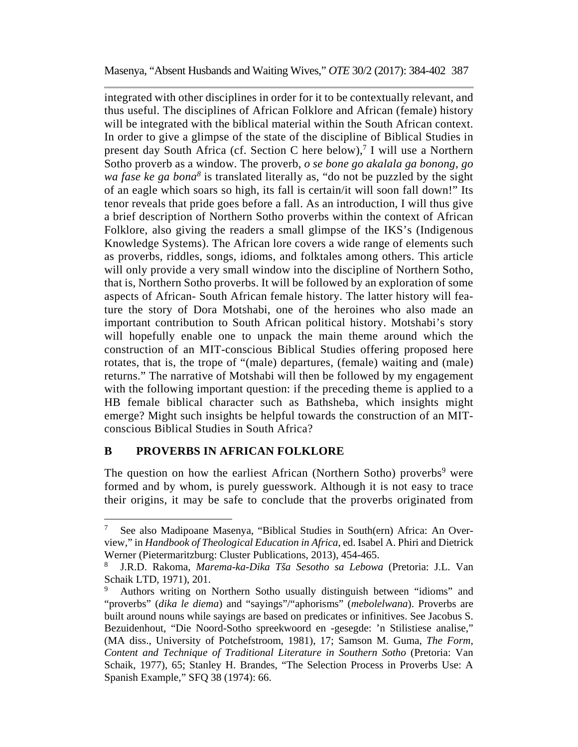integrated with other disciplines in order for it to be contextually relevant, and thus useful. The disciplines of African Folklore and African (female) history will be integrated with the biblical material within the South African context. In order to give a glimpse of the state of the discipline of Biblical Studies in present day South Africa (cf. Section C here below),<sup>7</sup> I will use a Northern Sotho proverb as a window. The proverb, *o se bone go akalala ga bonong, go*  wa fase ke ga bona<sup>8</sup> is translated literally as, "do not be puzzled by the sight of an eagle which soars so high, its fall is certain/it will soon fall down!" Its tenor reveals that pride goes before a fall. As an introduction, I will thus give a brief description of Northern Sotho proverbs within the context of African Folklore, also giving the readers a small glimpse of the IKS's (Indigenous Knowledge Systems). The African lore covers a wide range of elements such as proverbs, riddles, songs, idioms, and folktales among others. This article will only provide a very small window into the discipline of Northern Sotho, that is, Northern Sotho proverbs. It will be followed by an exploration of some aspects of African- South African female history. The latter history will feature the story of Dora Motshabi, one of the heroines who also made an important contribution to South African political history. Motshabi's story will hopefully enable one to unpack the main theme around which the construction of an MIT-conscious Biblical Studies offering proposed here rotates, that is, the trope of "(male) departures, (female) waiting and (male) returns." The narrative of Motshabi will then be followed by my engagement with the following important question: if the preceding theme is applied to a HB female biblical character such as Bathsheba, which insights might emerge? Might such insights be helpful towards the construction of an MITconscious Biblical Studies in South Africa?

## **B PROVERBS IN AFRICAN FOLKLORE**

The question on how the earliest African (Northern Sotho) proverbs<sup>9</sup> were formed and by whom, is purely guesswork. Although it is not easy to trace their origins, it may be safe to conclude that the proverbs originated from

<sup>7</sup> See also Madipoane Masenya, "Biblical Studies in South(ern) Africa: An Overview," in *Handbook of Theological Education in Africa*, ed. Isabel A. Phiri and Dietrick Werner (Pietermaritzburg: Cluster Publications, 2013), 454-465.

<sup>8</sup> J.R.D. Rakoma, *Marema-ka-Dika Tša Sesotho sa Lebowa* (Pretoria: J.L. Van Schaik LTD, 1971), 201.

<sup>9</sup> Authors writing on Northern Sotho usually distinguish between "idioms" and "proverbs" (*dika le diema*) and "sayings"/"aphorisms" (*mebolelwana*). Proverbs are built around nouns while sayings are based on predicates or infinitives. See Jacobus S. Bezuidenhout, "Die Noord-Sotho spreekwoord en -gesegde: 'n Stilistiese analise," (MA diss., University of Potchefstroom, 1981), 17; Samson M. Guma, *The Form, Content and Technique of Traditional Literature in Southern Sotho* (Pretoria: Van Schaik, 1977), 65; Stanley H. Brandes, "The Selection Process in Proverbs Use: A Spanish Example," SFQ 38 (1974): 66.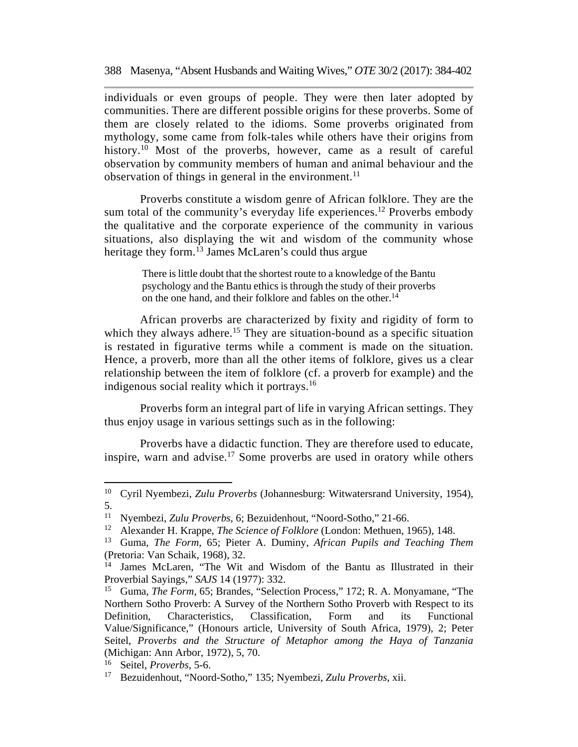individuals or even groups of people. They were then later adopted by communities. There are different possible origins for these proverbs. Some of them are closely related to the idioms. Some proverbs originated from mythology, some came from folk-tales while others have their origins from history.<sup>10</sup> Most of the proverbs, however, came as a result of careful observation by community members of human and animal behaviour and the observation of things in general in the environment.<sup>11</sup>

Proverbs constitute a wisdom genre of African folklore. They are the sum total of the community's everyday life experiences.<sup>12</sup> Proverbs embody the qualitative and the corporate experience of the community in various situations, also displaying the wit and wisdom of the community whose heritage they form.<sup>13</sup> James McLaren's could thus argue

> There is little doubt that the shortest route to a knowledge of the Bantu psychology and the Bantu ethics is through the study of their proverbs on the one hand, and their folklore and fables on the other.<sup>14</sup>

African proverbs are characterized by fixity and rigidity of form to which they always adhere.<sup>15</sup> They are situation-bound as a specific situation is restated in figurative terms while a comment is made on the situation. Hence, a proverb, more than all the other items of folklore, gives us a clear relationship between the item of folklore (cf. a proverb for example) and the indigenous social reality which it portrays.<sup>16</sup>

Proverbs form an integral part of life in varying African settings. They thus enjoy usage in various settings such as in the following:

Proverbs have a didactic function. They are therefore used to educate, inspire, warn and advise.<sup>17</sup> Some proverbs are used in oratory while others

<sup>10</sup> Cyril Nyembezi, *Zulu Proverbs* (Johannesburg: Witwatersrand University, 1954), 5.

<sup>11</sup> Nyembezi, *Zulu Proverbs*, 6; Bezuidenhout, "Noord-Sotho," 21-66.

<sup>12</sup> Alexander H. Krappe, *The Science of Folklore* (London: Methuen, 1965), 148.

<sup>13</sup> Guma, *The Form*, 65; Pieter A. Duminy, *African Pupils and Teaching Them*  (Pretoria: Van Schaik, 1968), 32.

<sup>&</sup>lt;sup>14</sup> James McLaren, "The Wit and Wisdom of the Bantu as Illustrated in their Proverbial Sayings," *SAJS* 14 (1977): 332.

<sup>15</sup> Guma, *The Form*, 65; Brandes, "Selection Process," 172; R. A. Monyamane, "The Northern Sotho Proverb: A Survey of the Northern Sotho Proverb with Respect to its Definition, Characteristics, Classification, Form and its Functional Value/Significance," (Honours article, University of South Africa, 1979), 2; Peter Seitel, *Proverbs and the Structure of Metaphor among the Haya of Tanzania* (Michigan: Ann Arbor, 1972), 5, 70.

<sup>16</sup> Seitel, *Proverbs*, 5-6.

<sup>17</sup> Bezuidenhout, "Noord-Sotho," 135; Nyembezi, *Zulu Proverbs*, xii.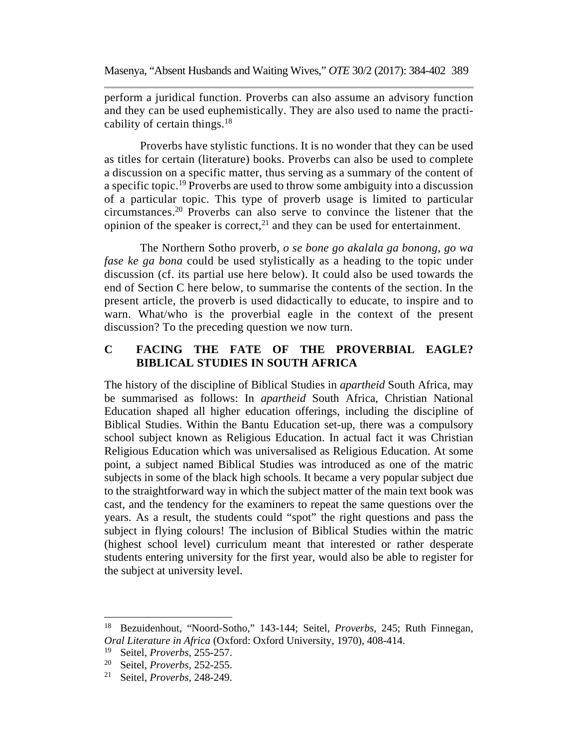perform a juridical function. Proverbs can also assume an advisory function and they can be used euphemistically. They are also used to name the practicability of certain things. $18$ 

Proverbs have stylistic functions. It is no wonder that they can be used as titles for certain (literature) books. Proverbs can also be used to complete a discussion on a specific matter, thus serving as a summary of the content of a specific topic.19 Proverbs are used to throw some ambiguity into a discussion of a particular topic. This type of proverb usage is limited to particular circumstances.20 Proverbs can also serve to convince the listener that the opinion of the speaker is correct, $^{21}$  and they can be used for entertainment.

The Northern Sotho proverb, *o se bone go akalala ga bonong, go wa fase ke ga bona* could be used stylistically as a heading to the topic under discussion (cf. its partial use here below). It could also be used towards the end of Section C here below, to summarise the contents of the section. In the present article, the proverb is used didactically to educate, to inspire and to warn. What/who is the proverbial eagle in the context of the present discussion? To the preceding question we now turn.

# **C FACING THE FATE OF THE PROVERBIAL EAGLE? BIBLICAL STUDIES IN SOUTH AFRICA**

The history of the discipline of Biblical Studies in *apartheid* South Africa, may be summarised as follows: In *apartheid* South Africa, Christian National Education shaped all higher education offerings, including the discipline of Biblical Studies. Within the Bantu Education set-up, there was a compulsory school subject known as Religious Education. In actual fact it was Christian Religious Education which was universalised as Religious Education. At some point, a subject named Biblical Studies was introduced as one of the matric subjects in some of the black high schools. It became a very popular subject due to the straightforward way in which the subject matter of the main text book was cast, and the tendency for the examiners to repeat the same questions over the years. As a result, the students could "spot" the right questions and pass the subject in flying colours! The inclusion of Biblical Studies within the matric (highest school level) curriculum meant that interested or rather desperate students entering university for the first year, would also be able to register for the subject at university level.

<sup>18</sup> Bezuidenhout, "Noord-Sotho," 143-144; Seitel, *Proverbs*, 245; Ruth Finnegan, *Oral Literature in Africa* (Oxford: Oxford University, 1970), 408-414.

<sup>&</sup>lt;sup>19</sup> Seitel, *Proverbs*, 255-257.<br><sup>20</sup> Seitel *Proverbs*, 252-255.

<sup>20</sup> Seitel, *Proverbs*, 252-255.

<sup>21</sup> Seitel, *Proverbs*, 248-249.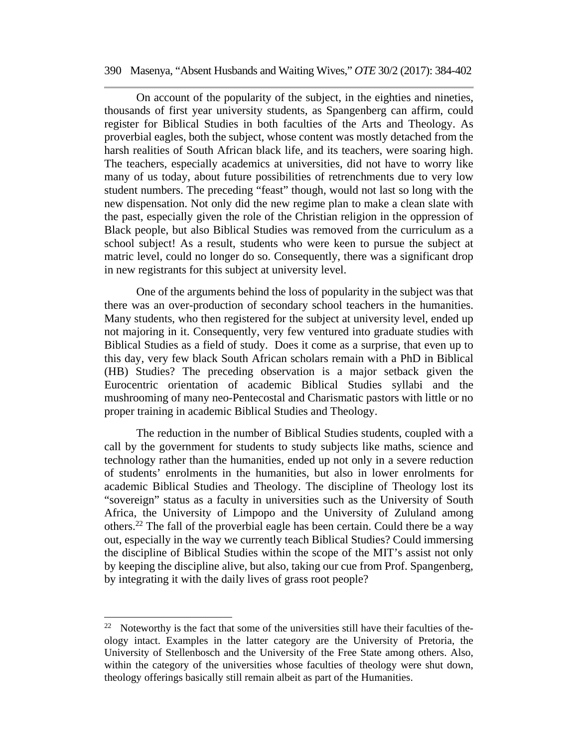On account of the popularity of the subject, in the eighties and nineties, thousands of first year university students, as Spangenberg can affirm, could register for Biblical Studies in both faculties of the Arts and Theology. As proverbial eagles, both the subject, whose content was mostly detached from the harsh realities of South African black life, and its teachers, were soaring high. The teachers, especially academics at universities, did not have to worry like many of us today, about future possibilities of retrenchments due to very low student numbers. The preceding "feast" though, would not last so long with the new dispensation. Not only did the new regime plan to make a clean slate with the past, especially given the role of the Christian religion in the oppression of Black people, but also Biblical Studies was removed from the curriculum as a school subject! As a result, students who were keen to pursue the subject at matric level, could no longer do so. Consequently, there was a significant drop in new registrants for this subject at university level.

One of the arguments behind the loss of popularity in the subject was that there was an over-production of secondary school teachers in the humanities. Many students, who then registered for the subject at university level, ended up not majoring in it. Consequently, very few ventured into graduate studies with Biblical Studies as a field of study. Does it come as a surprise, that even up to this day, very few black South African scholars remain with a PhD in Biblical (HB) Studies? The preceding observation is a major setback given the Eurocentric orientation of academic Biblical Studies syllabi and the mushrooming of many neo-Pentecostal and Charismatic pastors with little or no proper training in academic Biblical Studies and Theology.

The reduction in the number of Biblical Studies students, coupled with a call by the government for students to study subjects like maths, science and technology rather than the humanities, ended up not only in a severe reduction of students' enrolments in the humanities, but also in lower enrolments for academic Biblical Studies and Theology. The discipline of Theology lost its "sovereign" status as a faculty in universities such as the University of South Africa, the University of Limpopo and the University of Zululand among others.22 The fall of the proverbial eagle has been certain. Could there be a way out, especially in the way we currently teach Biblical Studies? Could immersing the discipline of Biblical Studies within the scope of the MIT's assist not only by keeping the discipline alive, but also, taking our cue from Prof. Spangenberg, by integrating it with the daily lives of grass root people?

 $22$  Noteworthy is the fact that some of the universities still have their faculties of theology intact. Examples in the latter category are the University of Pretoria, the University of Stellenbosch and the University of the Free State among others. Also, within the category of the universities whose faculties of theology were shut down, theology offerings basically still remain albeit as part of the Humanities.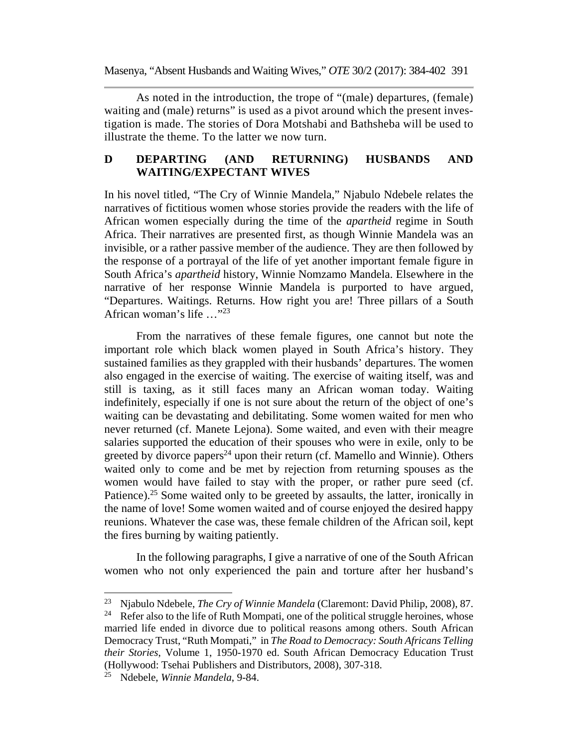As noted in the introduction, the trope of "(male) departures, (female) waiting and (male) returns" is used as a pivot around which the present investigation is made. The stories of Dora Motshabi and Bathsheba will be used to illustrate the theme. To the latter we now turn.

## **D DEPARTING (AND RETURNING) HUSBANDS AND WAITING/EXPECTANT WIVES**

In his novel titled, "The Cry of Winnie Mandela," Njabulo Ndebele relates the narratives of fictitious women whose stories provide the readers with the life of African women especially during the time of the *apartheid* regime in South Africa. Their narratives are presented first, as though Winnie Mandela was an invisible, or a rather passive member of the audience. They are then followed by the response of a portrayal of the life of yet another important female figure in South Africa's *apartheid* history, Winnie Nomzamo Mandela. Elsewhere in the narrative of her response Winnie Mandela is purported to have argued, "Departures. Waitings. Returns. How right you are! Three pillars of a South African woman's life …"23

From the narratives of these female figures, one cannot but note the important role which black women played in South Africa's history. They sustained families as they grappled with their husbands' departures. The women also engaged in the exercise of waiting. The exercise of waiting itself, was and still is taxing, as it still faces many an African woman today. Waiting indefinitely, especially if one is not sure about the return of the object of one's waiting can be devastating and debilitating. Some women waited for men who never returned (cf. Manete Lejona). Some waited, and even with their meagre salaries supported the education of their spouses who were in exile, only to be greeted by divorce papers<sup>24</sup> upon their return (cf. Mamello and Winnie). Others waited only to come and be met by rejection from returning spouses as the women would have failed to stay with the proper, or rather pure seed (cf. Patience).<sup>25</sup> Some waited only to be greeted by assaults, the latter, ironically in the name of love! Some women waited and of course enjoyed the desired happy reunions. Whatever the case was, these female children of the African soil, kept the fires burning by waiting patiently.

In the following paragraphs, I give a narrative of one of the South African women who not only experienced the pain and torture after her husband's

<sup>23</sup> Njabulo Ndebele, *The Cry of Winnie Mandela* (Claremont: David Philip, 2008), 87. <sup>24</sup> Refer also to the life of Ruth Mompati, one of the political struggle heroines, whose married life ended in divorce due to political reasons among others. South African Democracy Trust, "Ruth Mompati," in *The Road to Democracy: South Africans Telling their Stories*, Volume 1, 1950-1970 ed. South African Democracy Education Trust (Hollywood: Tsehai Publishers and Distributors, 2008), 307-318.

<sup>25</sup> Ndebele, *Winnie Mandela*, 9-84.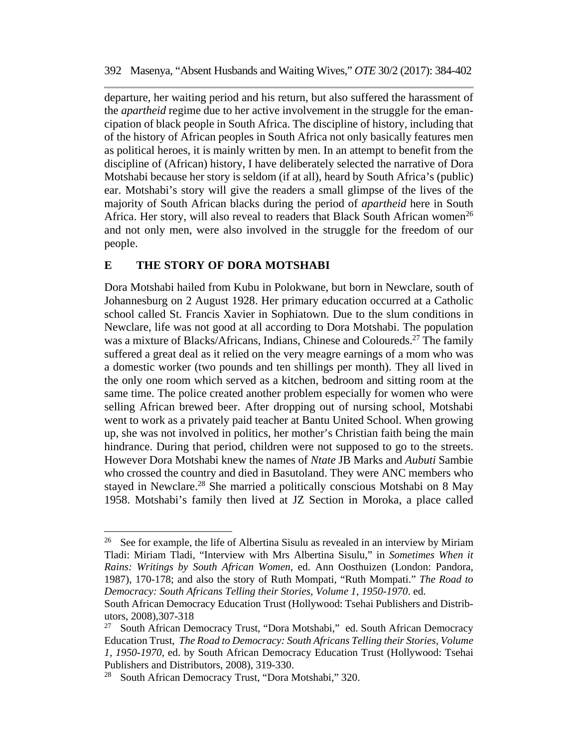departure, her waiting period and his return, but also suffered the harassment of the *apartheid* regime due to her active involvement in the struggle for the emancipation of black people in South Africa. The discipline of history, including that of the history of African peoples in South Africa not only basically features men as political heroes, it is mainly written by men. In an attempt to benefit from the discipline of (African) history, I have deliberately selected the narrative of Dora Motshabi because her story is seldom (if at all), heard by South Africa's (public) ear. Motshabi's story will give the readers a small glimpse of the lives of the majority of South African blacks during the period of *apartheid* here in South Africa. Her story, will also reveal to readers that Black South African women<sup>26</sup> and not only men, were also involved in the struggle for the freedom of our people.

### **E THE STORY OF DORA MOTSHABI**

Dora Motshabi hailed from Kubu in Polokwane, but born in Newclare, south of Johannesburg on 2 August 1928. Her primary education occurred at a Catholic school called St. Francis Xavier in Sophiatown. Due to the slum conditions in Newclare, life was not good at all according to Dora Motshabi. The population was a mixture of Blacks/Africans, Indians, Chinese and Coloureds.<sup>27</sup> The family suffered a great deal as it relied on the very meagre earnings of a mom who was a domestic worker (two pounds and ten shillings per month). They all lived in the only one room which served as a kitchen, bedroom and sitting room at the same time. The police created another problem especially for women who were selling African brewed beer. After dropping out of nursing school, Motshabi went to work as a privately paid teacher at Bantu United School. When growing up, she was not involved in politics, her mother's Christian faith being the main hindrance. During that period, children were not supposed to go to the streets. However Dora Motshabi knew the names of *Ntate* JB Marks and *Aubuti* Sambie who crossed the country and died in Basutoland. They were ANC members who stayed in Newclare.<sup>28</sup> She married a politically conscious Motshabi on 8 May 1958. Motshabi's family then lived at JZ Section in Moroka, a place called

<sup>&</sup>lt;sup>26</sup> See for example, the life of Albertina Sisulu as revealed in an interview by Miriam Tladi: Miriam Tladi, "Interview with Mrs Albertina Sisulu," in *Sometimes When it Rains: Writings by South African Women,* ed. Ann Oosthuizen (London: Pandora, 1987), 170-178; and also the story of Ruth Mompati, "Ruth Mompati." *The Road to Democracy: South Africans Telling their Stories, Volume 1, 1950-1970*. ed.

South African Democracy Education Trust (Hollywood: Tsehai Publishers and Distributors, 2008),307-318

<sup>27</sup> South African Democracy Trust, "Dora Motshabi," ed. South African Democracy Education Trust, *The Road to Democracy: South Africans Telling their Stories, Volume 1, 1950-1970,* ed. by South African Democracy Education Trust (Hollywood: Tsehai Publishers and Distributors, 2008), 319-330.

<sup>28</sup> South African Democracy Trust, "Dora Motshabi," 320.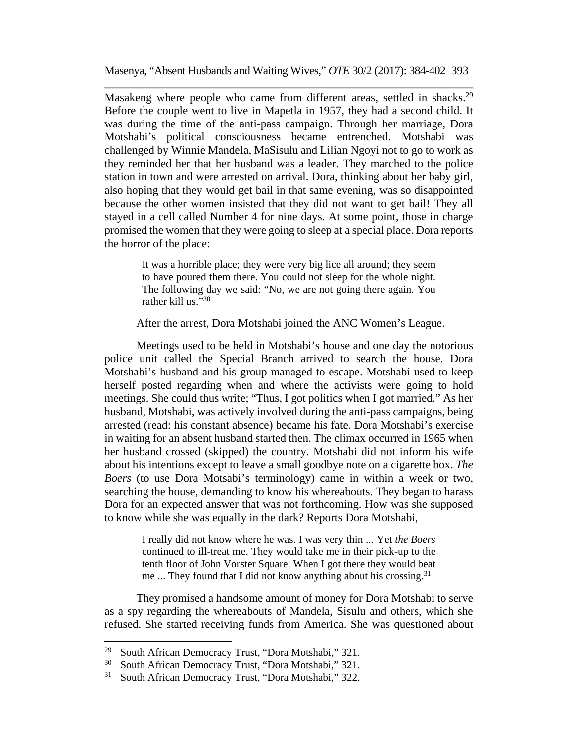Masakeng where people who came from different areas, settled in shacks.<sup>29</sup> Before the couple went to live in Mapetla in 1957, they had a second child. It was during the time of the anti-pass campaign. Through her marriage, Dora Motshabi's political consciousness became entrenched. Motshabi was challenged by Winnie Mandela, MaSisulu and Lilian Ngoyi not to go to work as they reminded her that her husband was a leader. They marched to the police station in town and were arrested on arrival. Dora, thinking about her baby girl, also hoping that they would get bail in that same evening, was so disappointed because the other women insisted that they did not want to get bail! They all stayed in a cell called Number 4 for nine days. At some point, those in charge promised the women that they were going to sleep at a special place. Dora reports the horror of the place:

It was a horrible place; they were very big lice all around; they seem to have poured them there. You could not sleep for the whole night. The following day we said: "No, we are not going there again. You rather kill us."30

After the arrest, Dora Motshabi joined the ANC Women's League.

Meetings used to be held in Motshabi's house and one day the notorious police unit called the Special Branch arrived to search the house. Dora Motshabi's husband and his group managed to escape. Motshabi used to keep herself posted regarding when and where the activists were going to hold meetings. She could thus write; "Thus, I got politics when I got married." As her husband, Motshabi, was actively involved during the anti-pass campaigns, being arrested (read: his constant absence) became his fate. Dora Motshabi's exercise in waiting for an absent husband started then. The climax occurred in 1965 when her husband crossed (skipped) the country. Motshabi did not inform his wife about his intentions except to leave a small goodbye note on a cigarette box. *The Boers* (to use Dora Motsabi's terminology) came in within a week or two, searching the house, demanding to know his whereabouts. They began to harass Dora for an expected answer that was not forthcoming. How was she supposed to know while she was equally in the dark? Reports Dora Motshabi,

> I really did not know where he was. I was very thin ... Yet *the Boers* continued to ill-treat me. They would take me in their pick-up to the tenth floor of John Vorster Square. When I got there they would beat me ... They found that I did not know anything about his crossing.<sup>31</sup>

They promised a handsome amount of money for Dora Motshabi to serve as a spy regarding the whereabouts of Mandela, Sisulu and others, which she refused. She started receiving funds from America. She was questioned about

<sup>&</sup>lt;sup>29</sup> South African Democracy Trust, "Dora Motshabi,"  $321$ .<br><sup>30</sup> South African Democracy Trust, "Dora Motshabi,"  $321$ .

South African Democracy Trust, "Dora Motshabi," 321.

<sup>31</sup> South African Democracy Trust, "Dora Motshabi," 322.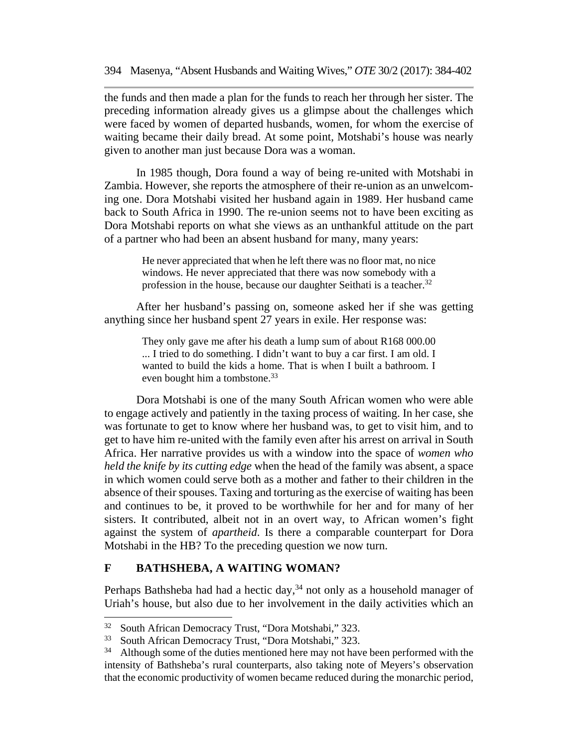the funds and then made a plan for the funds to reach her through her sister. The preceding information already gives us a glimpse about the challenges which were faced by women of departed husbands, women, for whom the exercise of waiting became their daily bread. At some point, Motshabi's house was nearly given to another man just because Dora was a woman.

In 1985 though, Dora found a way of being re-united with Motshabi in Zambia. However, she reports the atmosphere of their re-union as an unwelcoming one. Dora Motshabi visited her husband again in 1989. Her husband came back to South Africa in 1990. The re-union seems not to have been exciting as Dora Motshabi reports on what she views as an unthankful attitude on the part of a partner who had been an absent husband for many, many years:

> He never appreciated that when he left there was no floor mat, no nice windows. He never appreciated that there was now somebody with a profession in the house, because our daughter Seithati is a teacher. $32$

After her husband's passing on, someone asked her if she was getting anything since her husband spent 27 years in exile. Her response was:

> They only gave me after his death a lump sum of about R168 000.00 ... I tried to do something. I didn't want to buy a car first. I am old. I wanted to build the kids a home. That is when I built a bathroom. I even bought him a tombstone.<sup>33</sup>

Dora Motshabi is one of the many South African women who were able to engage actively and patiently in the taxing process of waiting. In her case, she was fortunate to get to know where her husband was, to get to visit him, and to get to have him re-united with the family even after his arrest on arrival in South Africa. Her narrative provides us with a window into the space of *women who held the knife by its cutting edge* when the head of the family was absent, a space in which women could serve both as a mother and father to their children in the absence of their spouses. Taxing and torturing as the exercise of waiting has been and continues to be, it proved to be worthwhile for her and for many of her sisters. It contributed, albeit not in an overt way, to African women's fight against the system of *apartheid*. Is there a comparable counterpart for Dora Motshabi in the HB? To the preceding question we now turn.

#### **F BATHSHEBA, A WAITING WOMAN?**

Perhaps Bathsheba had had a hectic day,  $34$  not only as a household manager of Uriah's house, but also due to her involvement in the daily activities which an

<sup>&</sup>lt;sup>32</sup> South African Democracy Trust, "Dora Motshabi," 323.<br><sup>33</sup> South African Democracy Trust, "Dora Motshabi," 323.

South African Democracy Trust, "Dora Motshabi," 323.

<sup>&</sup>lt;sup>34</sup> Although some of the duties mentioned here may not have been performed with the intensity of Bathsheba's rural counterparts, also taking note of Meyers's observation that the economic productivity of women became reduced during the monarchic period,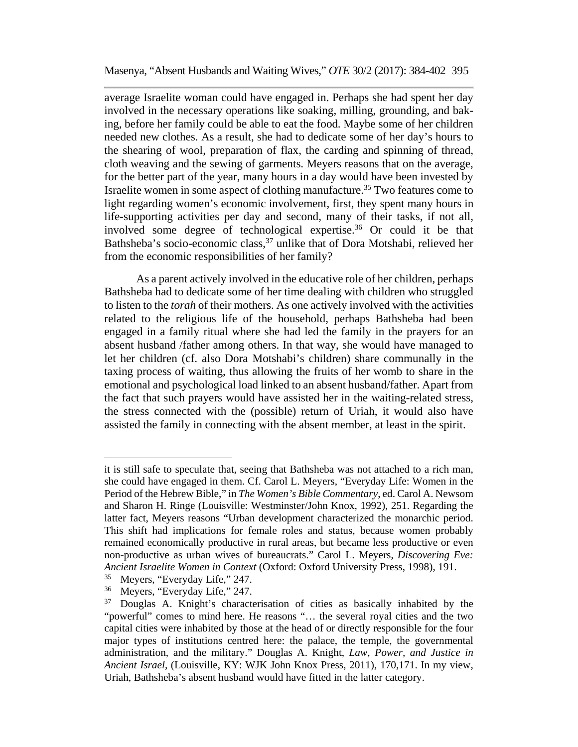average Israelite woman could have engaged in. Perhaps she had spent her day involved in the necessary operations like soaking, milling, grounding, and baking, before her family could be able to eat the food. Maybe some of her children needed new clothes. As a result, she had to dedicate some of her day's hours to the shearing of wool, preparation of flax, the carding and spinning of thread, cloth weaving and the sewing of garments. Meyers reasons that on the average, for the better part of the year, many hours in a day would have been invested by Israelite women in some aspect of clothing manufacture.<sup>35</sup> Two features come to light regarding women's economic involvement, first, they spent many hours in life-supporting activities per day and second, many of their tasks, if not all, involved some degree of technological expertise.36 Or could it be that Bathsheba's socio-economic class,<sup>37</sup> unlike that of Dora Motshabi, relieved her from the economic responsibilities of her family?

As a parent actively involved in the educative role of her children, perhaps Bathsheba had to dedicate some of her time dealing with children who struggled to listen to the *torah* of their mothers. As one actively involved with the activities related to the religious life of the household, perhaps Bathsheba had been engaged in a family ritual where she had led the family in the prayers for an absent husband /father among others. In that way, she would have managed to let her children (cf. also Dora Motshabi's children) share communally in the taxing process of waiting, thus allowing the fruits of her womb to share in the emotional and psychological load linked to an absent husband/father. Apart from the fact that such prayers would have assisted her in the waiting-related stress, the stress connected with the (possible) return of Uriah, it would also have assisted the family in connecting with the absent member, at least in the spirit.

it is still safe to speculate that, seeing that Bathsheba was not attached to a rich man, she could have engaged in them. Cf. Carol L. Meyers, "Everyday Life: Women in the Period of the Hebrew Bible," in *The Women's Bible Commentary*, ed. Carol A. Newsom and Sharon H. Ringe (Louisville: Westminster/John Knox, 1992), 251. Regarding the latter fact, Meyers reasons "Urban development characterized the monarchic period. This shift had implications for female roles and status, because women probably remained economically productive in rural areas, but became less productive or even non-productive as urban wives of bureaucrats." Carol L. Meyers, *Discovering Eve: Ancient Israelite Women in Context* (Oxford: Oxford University Press, 1998), 191.

<sup>35</sup> Meyers, "Everyday Life," 247.

<sup>36</sup> Meyers, "Everyday Life," 247.

<sup>&</sup>lt;sup>37</sup> Douglas A. Knight's characterisation of cities as basically inhabited by the "powerful" comes to mind here. He reasons "… the several royal cities and the two capital cities were inhabited by those at the head of or directly responsible for the four major types of institutions centred here: the palace, the temple, the governmental administration, and the military." Douglas A. Knight, *Law, Power, and Justice in Ancient Israel*, (Louisville, KY: WJK John Knox Press, 2011), 170,171. In my view, Uriah, Bathsheba's absent husband would have fitted in the latter category.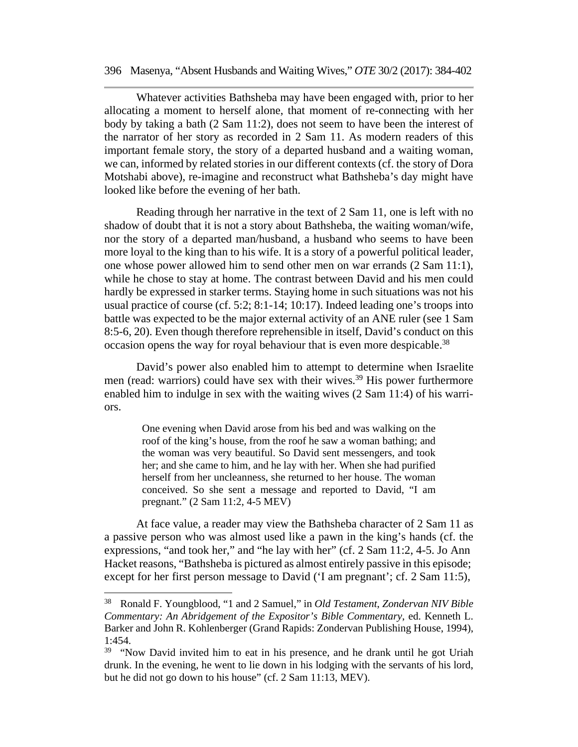Whatever activities Bathsheba may have been engaged with, prior to her allocating a moment to herself alone, that moment of re-connecting with her body by taking a bath (2 Sam 11:2), does not seem to have been the interest of the narrator of her story as recorded in 2 Sam 11. As modern readers of this important female story, the story of a departed husband and a waiting woman, we can, informed by related stories in our different contexts (cf. the story of Dora Motshabi above), re-imagine and reconstruct what Bathsheba's day might have looked like before the evening of her bath.

Reading through her narrative in the text of 2 Sam 11, one is left with no shadow of doubt that it is not a story about Bathsheba, the waiting woman/wife, nor the story of a departed man/husband, a husband who seems to have been more loyal to the king than to his wife. It is a story of a powerful political leader, one whose power allowed him to send other men on war errands (2 Sam 11:1), while he chose to stay at home. The contrast between David and his men could hardly be expressed in starker terms. Staying home in such situations was not his usual practice of course (cf. 5:2; 8:1-14; 10:17). Indeed leading one's troops into battle was expected to be the major external activity of an ANE ruler (see 1 Sam 8:5-6, 20). Even though therefore reprehensible in itself, David's conduct on this occasion opens the way for royal behaviour that is even more despicable.<sup>38</sup>

David's power also enabled him to attempt to determine when Israelite men (read: warriors) could have sex with their wives.<sup>39</sup> His power furthermore enabled him to indulge in sex with the waiting wives (2 Sam 11:4) of his warriors.

One evening when David arose from his bed and was walking on the roof of the king's house, from the roof he saw a woman bathing; and the woman was very beautiful. So David sent messengers, and took her; and she came to him, and he lay with her. When she had purified herself from her uncleanness, she returned to her house. The woman conceived. So she sent a message and reported to David, "I am pregnant." (2 Sam 11:2, 4-5 MEV)

At face value, a reader may view the Bathsheba character of 2 Sam 11 as a passive person who was almost used like a pawn in the king's hands (cf. the expressions, "and took her," and "he lay with her" (cf.  $2 \text{ Sam } 11:2$ , 4-5. Jo Ann Hacket reasons, "Bathsheba is pictured as almost entirely passive in this episode; except for her first person message to David ('I am pregnant'; cf. 2 Sam 11:5),

<sup>38</sup> Ronald F. Youngblood, "1 and 2 Samuel," in *Old Testament*, *Zondervan NIV Bible Commentary: An Abridgement of the Expositor's Bible Commentary*, ed. Kenneth L. Barker and John R. Kohlenberger (Grand Rapids: Zondervan Publishing House, 1994),  $1.454$ 

<sup>&</sup>lt;sup>39</sup> "Now David invited him to eat in his presence, and he drank until he got Uriah drunk. In the evening, he went to lie down in his lodging with the servants of his lord, but he did not go down to his house"  $(cf. 2 Sam 11:13, MEV)$ .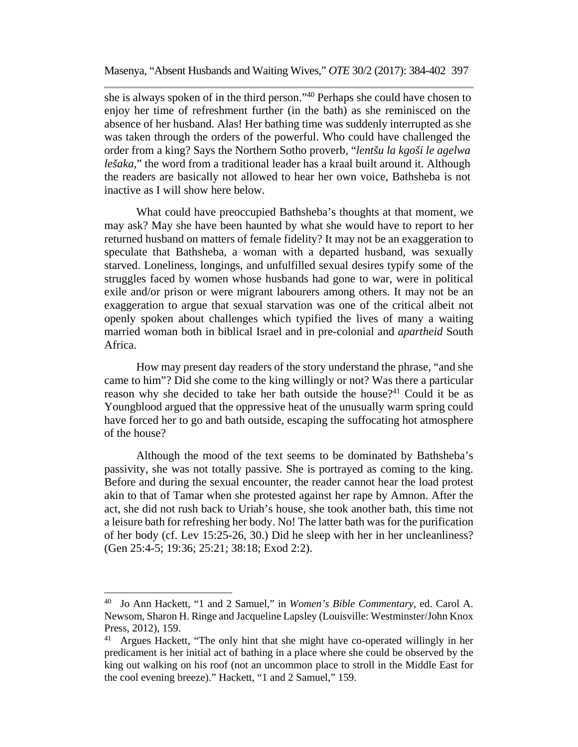she is always spoken of in the third person."40 Perhaps she could have chosen to enjoy her time of refreshment further (in the bath) as she reminisced on the absence of her husband. Alas! Her bathing time was suddenly interrupted as she was taken through the orders of the powerful. Who could have challenged the order from a king? Says the Northern Sotho proverb, "*lentšu la kgoši le agelwa lešaka*," the word from a traditional leader has a kraal built around it. Although the readers are basically not allowed to hear her own voice, Bathsheba is not inactive as I will show here below.

What could have preoccupied Bathsheba's thoughts at that moment, we may ask? May she have been haunted by what she would have to report to her returned husband on matters of female fidelity? It may not be an exaggeration to speculate that Bathsheba, a woman with a departed husband, was sexually starved. Loneliness, longings, and unfulfilled sexual desires typify some of the struggles faced by women whose husbands had gone to war, were in political exile and/or prison or were migrant labourers among others. It may not be an exaggeration to argue that sexual starvation was one of the critical albeit not openly spoken about challenges which typified the lives of many a waiting married woman both in biblical Israel and in pre-colonial and *apartheid* South Africa.

How may present day readers of the story understand the phrase, "and she came to him"? Did she come to the king willingly or not? Was there a particular reason why she decided to take her bath outside the house?<sup>41</sup> Could it be as Youngblood argued that the oppressive heat of the unusually warm spring could have forced her to go and bath outside, escaping the suffocating hot atmosphere of the house?

Although the mood of the text seems to be dominated by Bathsheba's passivity, she was not totally passive. She is portrayed as coming to the king. Before and during the sexual encounter, the reader cannot hear the load protest akin to that of Tamar when she protested against her rape by Amnon. After the act, she did not rush back to Uriah's house, she took another bath, this time not a leisure bath for refreshing her body. No! The latter bath was for the purification of her body (cf. Lev 15:25-26, 30.) Did he sleep with her in her uncleanliness? (Gen 25:4-5; 19:36; 25:21; 38:18; Exod 2:2).

<sup>40</sup> Jo Ann Hackett, "1 and 2 Samuel," in *Women's Bible Commentary*, ed. Carol A. Newsom, Sharon H. Ringe and Jacqueline Lapsley (Louisville: Westminster/John Knox Press, 2012), 159.

<sup>41</sup> Argues Hackett, "The only hint that she might have co-operated willingly in her predicament is her initial act of bathing in a place where she could be observed by the king out walking on his roof (not an uncommon place to stroll in the Middle East for the cool evening breeze)." Hackett, "1 and 2 Samuel," 159.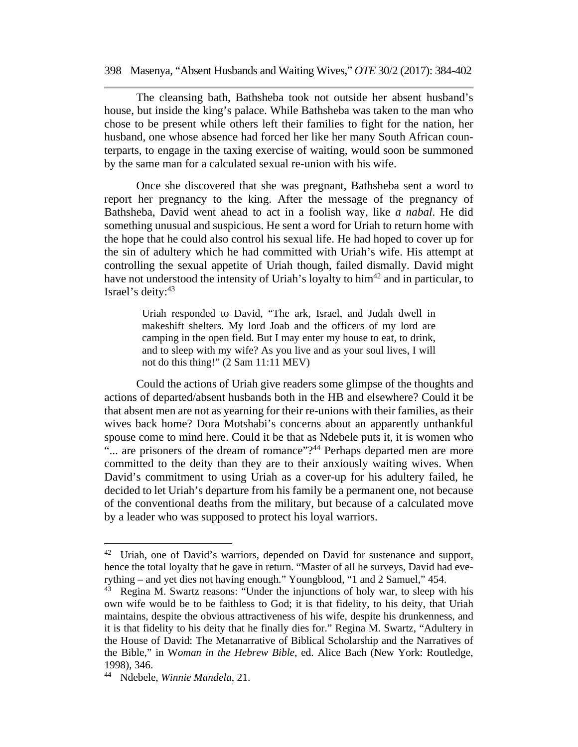The cleansing bath, Bathsheba took not outside her absent husband's house, but inside the king's palace. While Bathsheba was taken to the man who chose to be present while others left their families to fight for the nation, her husband, one whose absence had forced her like her many South African counterparts, to engage in the taxing exercise of waiting, would soon be summoned by the same man for a calculated sexual re-union with his wife.

Once she discovered that she was pregnant, Bathsheba sent a word to report her pregnancy to the king. After the message of the pregnancy of Bathsheba, David went ahead to act in a foolish way, like *a nabal*. He did something unusual and suspicious. He sent a word for Uriah to return home with the hope that he could also control his sexual life. He had hoped to cover up for the sin of adultery which he had committed with Uriah's wife. His attempt at controlling the sexual appetite of Uriah though, failed dismally. David might have not understood the intensity of Uriah's loyalty to  $\lim^{42}$  and in particular, to Israel's deity: 43

> Uriah responded to David, "The ark, Israel, and Judah dwell in makeshift shelters. My lord Joab and the officers of my lord are camping in the open field. But I may enter my house to eat, to drink, and to sleep with my wife? As you live and as your soul lives, I will not do this thing!" (2 Sam 11:11 MEV)

Could the actions of Uriah give readers some glimpse of the thoughts and actions of departed/absent husbands both in the HB and elsewhere? Could it be that absent men are not as yearning for their re-unions with their families, as their wives back home? Dora Motshabi's concerns about an apparently unthankful spouse come to mind here. Could it be that as Ndebele puts it, it is women who "... are prisoners of the dream of romance"?<sup>44</sup> Perhaps departed men are more committed to the deity than they are to their anxiously waiting wives. When David's commitment to using Uriah as a cover-up for his adultery failed, he decided to let Uriah's departure from his family be a permanent one, not because of the conventional deaths from the military, but because of a calculated move by a leader who was supposed to protect his loyal warriors.

<sup>&</sup>lt;sup>42</sup> Uriah, one of David's warriors, depended on David for sustenance and support, hence the total loyalty that he gave in return. "Master of all he surveys, David had everything – and yet dies not having enough." Youngblood, "1 and 2 Samuel," 454.<br><sup>43</sup> Regina M. Swartz reasons: "Under the injunctions of holy war, to sleep wi

Regina M. Swartz reasons: "Under the injunctions of holy war, to sleep with his own wife would be to be faithless to God; it is that fidelity, to his deity, that Uriah maintains, despite the obvious attractiveness of his wife, despite his drunkenness, and it is that fidelity to his deity that he finally dies for." Regina M. Swartz, "Adultery in the House of David: The Metanarrative of Biblical Scholarship and the Narratives of the Bible," in W*oman in the Hebrew Bible*, ed. Alice Bach (New York: Routledge, 1998), 346.

<sup>44</sup> Ndebele, *Winnie Mandela*, 21.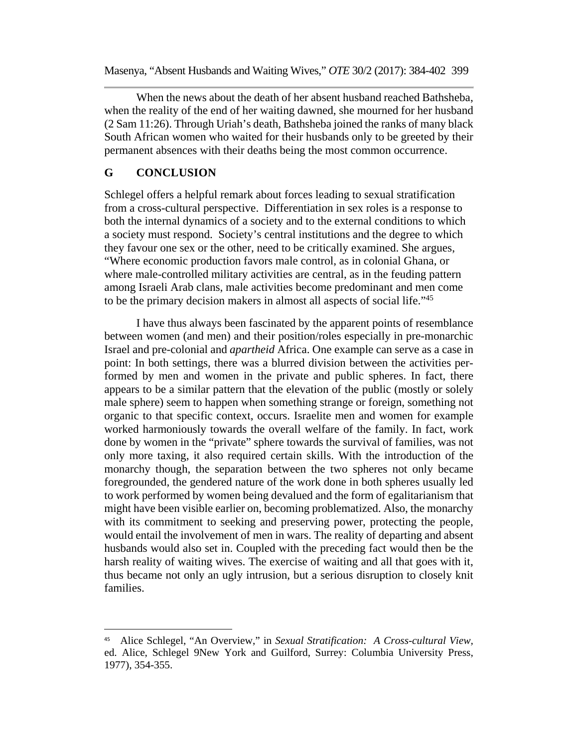When the news about the death of her absent husband reached Bathsheba, when the reality of the end of her waiting dawned, she mourned for her husband (2 Sam 11:26). Through Uriah's death, Bathsheba joined the ranks of many black South African women who waited for their husbands only to be greeted by their permanent absences with their deaths being the most common occurrence.

#### **G CONCLUSION**

Schlegel offers a helpful remark about forces leading to sexual stratification from a cross-cultural perspective. Differentiation in sex roles is a response to both the internal dynamics of a society and to the external conditions to which a society must respond. Society's central institutions and the degree to which they favour one sex or the other, need to be critically examined. She argues, "Where economic production favors male control, as in colonial Ghana, or where male-controlled military activities are central, as in the feuding pattern among Israeli Arab clans, male activities become predominant and men come to be the primary decision makers in almost all aspects of social life."45

I have thus always been fascinated by the apparent points of resemblance between women (and men) and their position/roles especially in pre-monarchic Israel and pre-colonial and *apartheid* Africa. One example can serve as a case in point: In both settings, there was a blurred division between the activities performed by men and women in the private and public spheres. In fact, there appears to be a similar pattern that the elevation of the public (mostly or solely male sphere) seem to happen when something strange or foreign, something not organic to that specific context, occurs. Israelite men and women for example worked harmoniously towards the overall welfare of the family. In fact, work done by women in the "private" sphere towards the survival of families, was not only more taxing, it also required certain skills. With the introduction of the monarchy though, the separation between the two spheres not only became foregrounded, the gendered nature of the work done in both spheres usually led to work performed by women being devalued and the form of egalitarianism that might have been visible earlier on, becoming problematized. Also, the monarchy with its commitment to seeking and preserving power, protecting the people, would entail the involvement of men in wars. The reality of departing and absent husbands would also set in. Coupled with the preceding fact would then be the harsh reality of waiting wives. The exercise of waiting and all that goes with it, thus became not only an ugly intrusion, but a serious disruption to closely knit families.

<sup>45</sup> Alice Schlegel, "An Overview," in *Sexual Stratification: A Cross-cultural View,* ed. Alice, Schlegel 9New York and Guilford, Surrey: Columbia University Press, 1977), 354-355.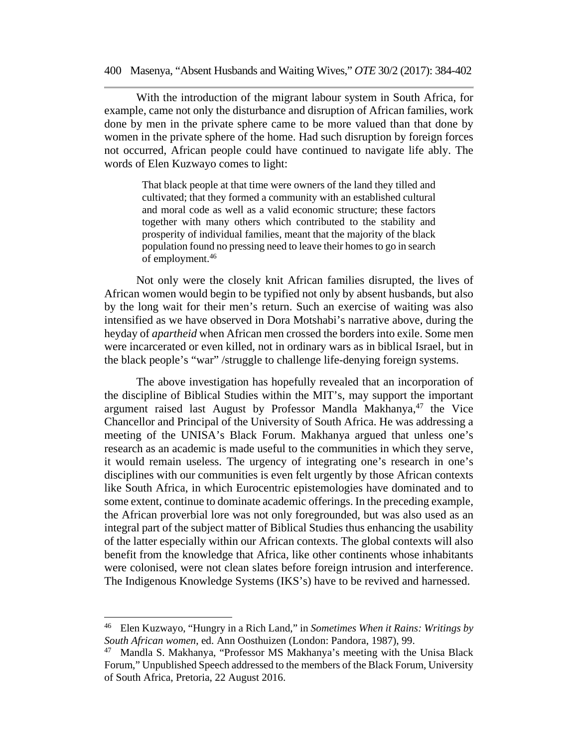With the introduction of the migrant labour system in South Africa, for example, came not only the disturbance and disruption of African families, work done by men in the private sphere came to be more valued than that done by women in the private sphere of the home. Had such disruption by foreign forces not occurred, African people could have continued to navigate life ably. The words of Elen Kuzwayo comes to light:

> That black people at that time were owners of the land they tilled and cultivated; that they formed a community with an established cultural and moral code as well as a valid economic structure; these factors together with many others which contributed to the stability and prosperity of individual families, meant that the majority of the black population found no pressing need to leave their homes to go in search of employment.46

Not only were the closely knit African families disrupted, the lives of African women would begin to be typified not only by absent husbands, but also by the long wait for their men's return. Such an exercise of waiting was also intensified as we have observed in Dora Motshabi's narrative above, during the heyday of *apartheid* when African men crossed the borders into exile. Some men were incarcerated or even killed, not in ordinary wars as in biblical Israel, but in the black people's "war" /struggle to challenge life-denying foreign systems.

The above investigation has hopefully revealed that an incorporation of the discipline of Biblical Studies within the MIT's, may support the important argument raised last August by Professor Mandla Makhanya,<sup>47</sup> the Vice Chancellor and Principal of the University of South Africa. He was addressing a meeting of the UNISA's Black Forum. Makhanya argued that unless one's research as an academic is made useful to the communities in which they serve, it would remain useless. The urgency of integrating one's research in one's disciplines with our communities is even felt urgently by those African contexts like South Africa, in which Eurocentric epistemologies have dominated and to some extent, continue to dominate academic offerings. In the preceding example, the African proverbial lore was not only foregrounded, but was also used as an integral part of the subject matter of Biblical Studies thus enhancing the usability of the latter especially within our African contexts. The global contexts will also benefit from the knowledge that Africa, like other continents whose inhabitants were colonised, were not clean slates before foreign intrusion and interference. The Indigenous Knowledge Systems (IKS's) have to be revived and harnessed.

<sup>46</sup> Elen Kuzwayo, "Hungry in a Rich Land," in *Sometimes When it Rains: Writings by South African women*, ed. Ann Oosthuizen (London: Pandora, 1987), 99.

<sup>47</sup> Mandla S. Makhanya, "Professor MS Makhanya's meeting with the Unisa Black Forum," Unpublished Speech addressed to the members of the Black Forum, University of South Africa, Pretoria, 22 August 2016.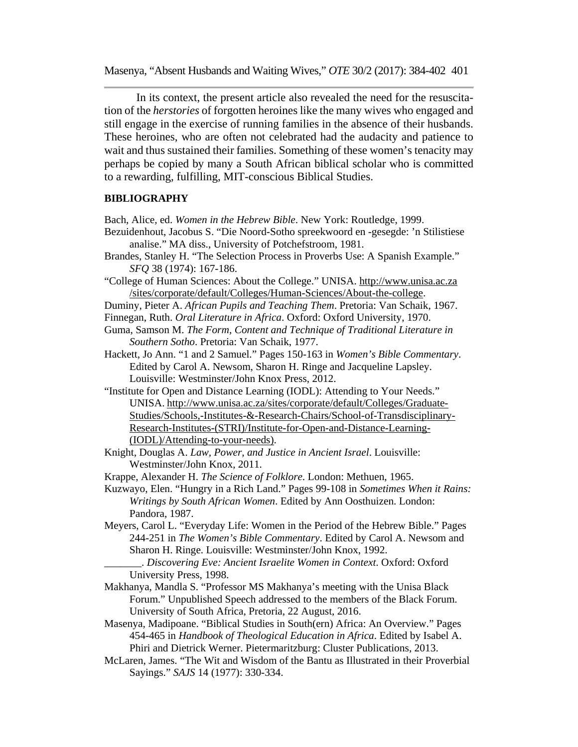In its context, the present article also revealed the need for the resuscitation of the *herstories* of forgotten heroines like the many wives who engaged and still engage in the exercise of running families in the absence of their husbands. These heroines, who are often not celebrated had the audacity and patience to wait and thus sustained their families. Something of these women's tenacity may perhaps be copied by many a South African biblical scholar who is committed to a rewarding, fulfilling, MIT-conscious Biblical Studies.

#### **BIBLIOGRAPHY**

Bach, Alice, ed. *Women in the Hebrew Bible*. New York: Routledge, 1999.

- Bezuidenhout, Jacobus S. "Die Noord-Sotho spreekwoord en -gesegde: 'n Stilistiese analise." MA diss., University of Potchefstroom, 1981.
- Brandes, Stanley H. "The Selection Process in Proverbs Use: A Spanish Example." *SFQ* 38 (1974): 167-186.
- "College of Human Sciences: About the College." UNISA. http://www.unisa.ac.za /sites/corporate/default/Colleges/Human-Sciences/About-the-college.
- Duminy, Pieter A. *African Pupils and Teaching Them*. Pretoria: Van Schaik, 1967.
- Finnegan, Ruth. *Oral Literature in Africa*. Oxford: Oxford University, 1970.
- Guma, Samson M. *The Form, Content and Technique of Traditional Literature in Southern Sotho*. Pretoria: Van Schaik, 1977.
- Hackett, Jo Ann. "1 and 2 Samuel." Pages 150-163 in *Women's Bible Commentary*. Edited by Carol A. Newsom, Sharon H. Ringe and Jacqueline Lapsley. Louisville: Westminster/John Knox Press, 2012.
- "Institute for Open and Distance Learning (IODL): Attending to Your Needs." UNISA. http://www.unisa.ac.za/sites/corporate/default/Colleges/Graduate-Studies/Schools,-Institutes-&-Research-Chairs/School-of-Transdisciplinary-Research-Institutes-(STRI)/Institute-for-Open-and-Distance-Learning- (IODL)/Attending-to-your-needs).
- Knight, Douglas A. *Law, Power, and Justice in Ancient Israel*. Louisville: Westminster/John Knox, 2011.
- Krappe, Alexander H. *The Science of Folklore*. London: Methuen, 1965.
- Kuzwayo, Elen. "Hungry in a Rich Land." Pages 99-108 in *Sometimes When it Rains: Writings by South African Women*. Edited by Ann Oosthuizen. London: Pandora, 1987.
- Meyers, Carol L. "Everyday Life: Women in the Period of the Hebrew Bible." Pages 244-251 in *The Women's Bible Commentary*. Edited by Carol A. Newsom and Sharon H. Ringe. Louisville: Westminster/John Knox, 1992.
	- \_\_\_\_\_\_\_. *Discovering Eve: Ancient Israelite Women in Context*. Oxford: Oxford University Press, 1998.
- Makhanya, Mandla S. "Professor MS Makhanya's meeting with the Unisa Black Forum." Unpublished Speech addressed to the members of the Black Forum. University of South Africa, Pretoria, 22 August, 2016.
- Masenya, Madipoane. "Biblical Studies in South(ern) Africa: An Overview." Pages 454-465 in *Handbook of Theological Education in Africa*. Edited by Isabel A. Phiri and Dietrick Werner. Pietermaritzburg: Cluster Publications, 2013.
- McLaren, James. "The Wit and Wisdom of the Bantu as Illustrated in their Proverbial Sayings." *SAJS* 14 (1977): 330-334.